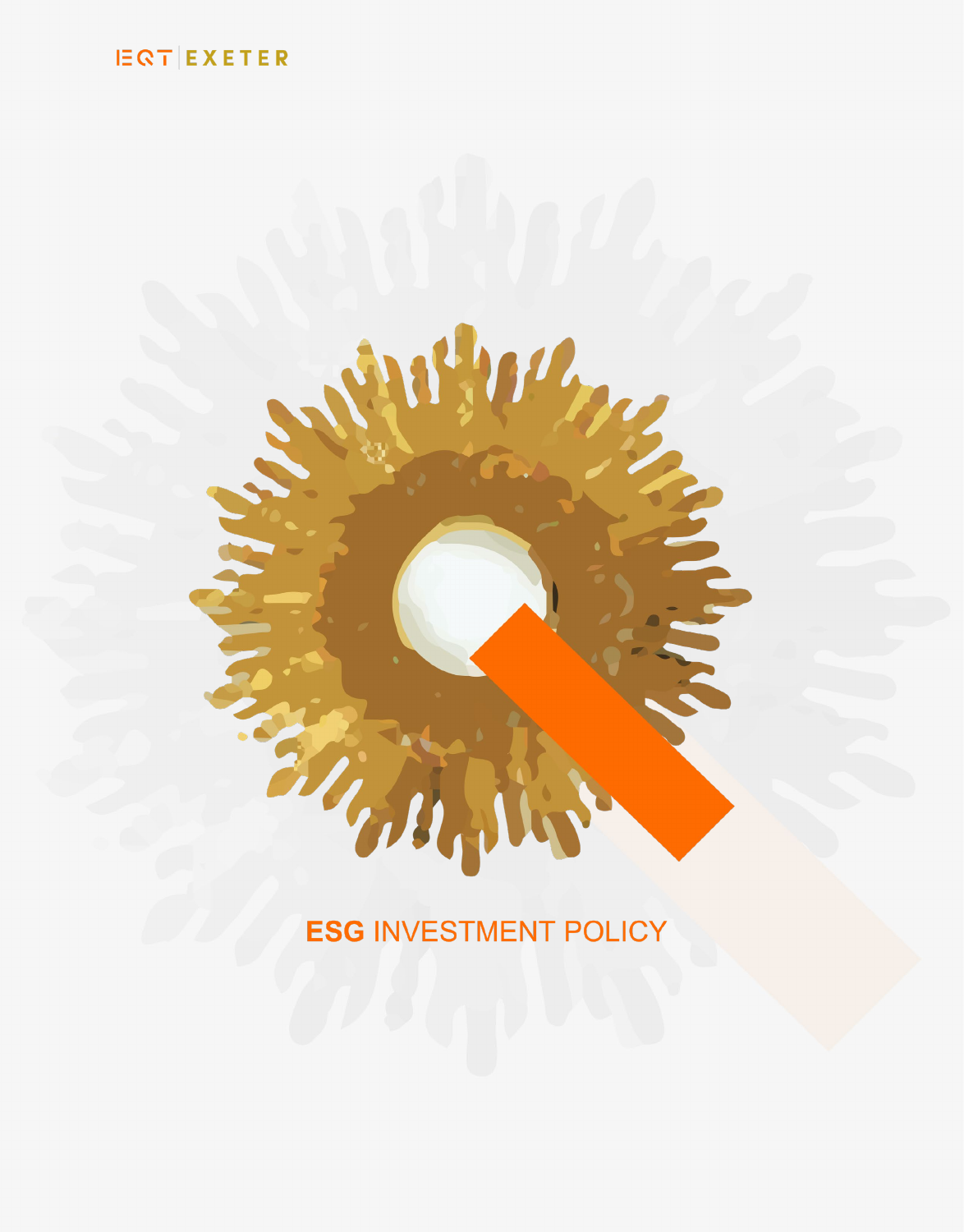# **IEQT EXETER**

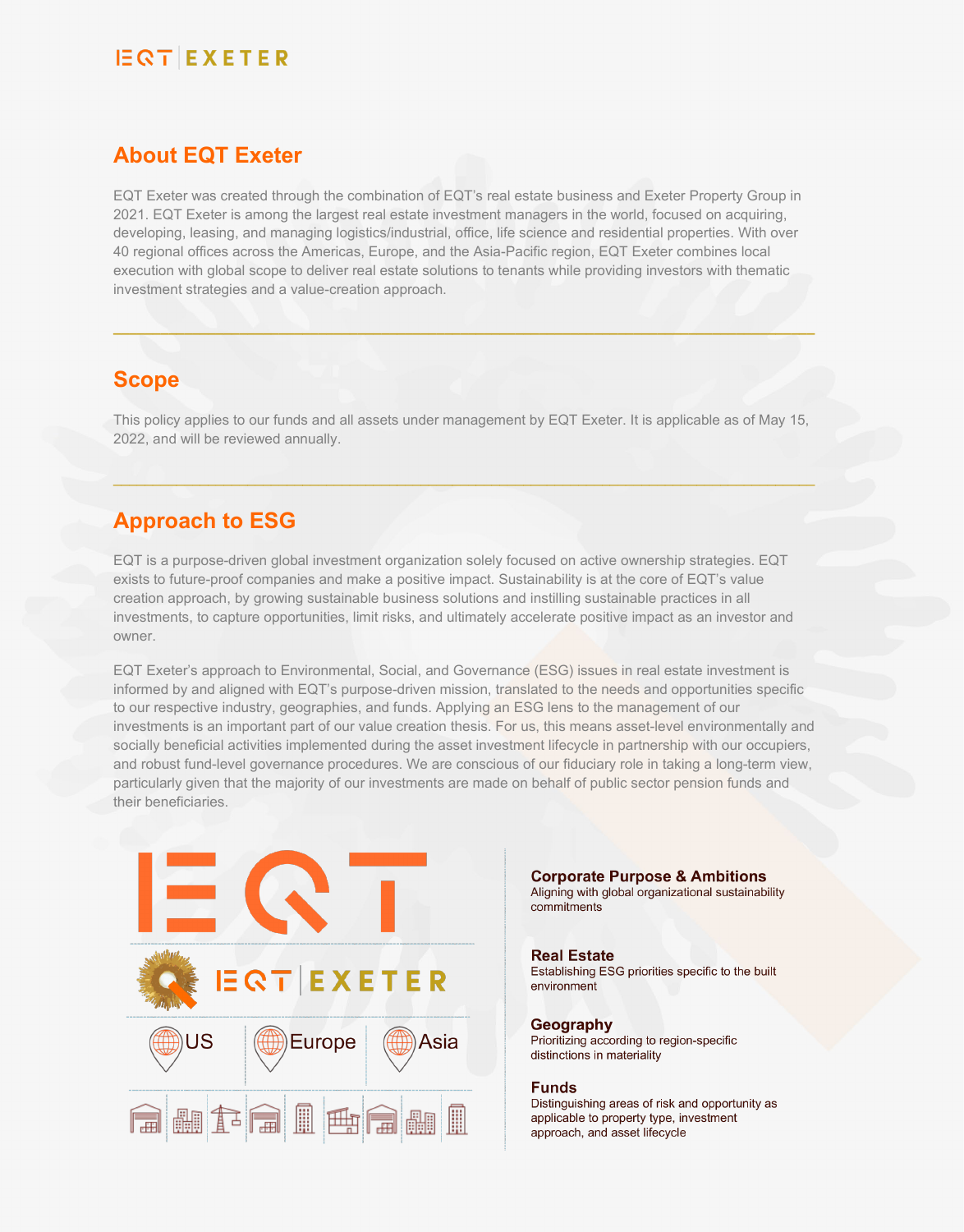### **About EQT Exeter**

EQT Exeter was created through the combination of EQT's real estate business and Exeter Property Group in 2021. EQT Exeter is among the largest real estate investment managers in the world, focused on acquiring, developing, leasing, and managing logistics/industrial, office, life science and residential properties. With over 40 regional offices across the Americas, Europe, and the Asia-Pacific region, EQT Exeter combines local execution with global scope to deliver real estate solutions to tenants while providing investors with thematic investment strategies and a value-creation approach.

### **Scope**

This policy applies to our funds and all assets under management by EQT Exeter. It is applicable as of May 15, 2022, and will be reviewed annually.

 $\_$  ,  $\_$  ,  $\_$  ,  $\_$  ,  $\_$  ,  $\_$  ,  $\_$  ,  $\_$  ,  $\_$  ,  $\_$  ,  $\_$  ,  $\_$  ,  $\_$  ,  $\_$  ,  $\_$  ,  $\_$  ,  $\_$  ,  $\_$  ,  $\_$  ,  $\_$  ,  $\_$  ,  $\_$  ,  $\_$  ,  $\_$  ,  $\_$  ,  $\_$  ,  $\_$  ,  $\_$  ,  $\_$  ,  $\_$  ,  $\_$  ,  $\_$  ,  $\_$  ,  $\_$  ,  $\_$  ,  $\_$  ,  $\_$  ,

**\_\_\_\_\_\_\_\_\_\_\_\_\_\_\_\_\_\_\_\_\_\_\_\_\_\_\_\_\_\_\_\_\_\_\_\_\_\_\_\_\_\_\_\_\_\_\_\_\_\_\_\_\_\_\_\_\_\_\_\_\_\_\_\_\_\_\_\_\_\_\_\_\_\_\_\_\_\_\_\_\_\_\_\_\_\_\_\_\_**

### **Approach to ESG**

EQT is a purpose-driven global investment organization solely focused on active ownership strategies. EQT exists to future-proof companies and make a positive impact. Sustainability is at the core of EQT's value creation approach, by growing sustainable business solutions and instilling sustainable practices in all investments, to capture opportunities, limit risks, and ultimately accelerate positive impact as an investor and owner.

EQT Exeter's approach to Environmental, Social, and Governance (ESG) issues in real estate investment is informed by and aligned with EQT's purpose-driven mission, translated to the needs and opportunities specific to our respective industry, geographies, and funds. Applying an ESG lens to the management of our investments is an important part of our value creation thesis. For us, this means asset-level environmentally and socially beneficial activities implemented during the asset investment lifecycle in partnership with our occupiers, and robust fund-level governance procedures. We are conscious of our fiduciary role in taking a long-term view, particularly given that the majority of our investments are made on behalf of public sector pension funds and their beneficiaries.



**Corporate Purpose & Ambitions** Aligning with global organizational sustainability

#### **Real Estate**

commitments

Establishing ESG priorities specific to the built environment

Geography Prioritizing according to region-specific distinctions in materiality

#### **Funds**

Distinguishing areas of risk and opportunity as applicable to property type, investment approach, and asset lifecycle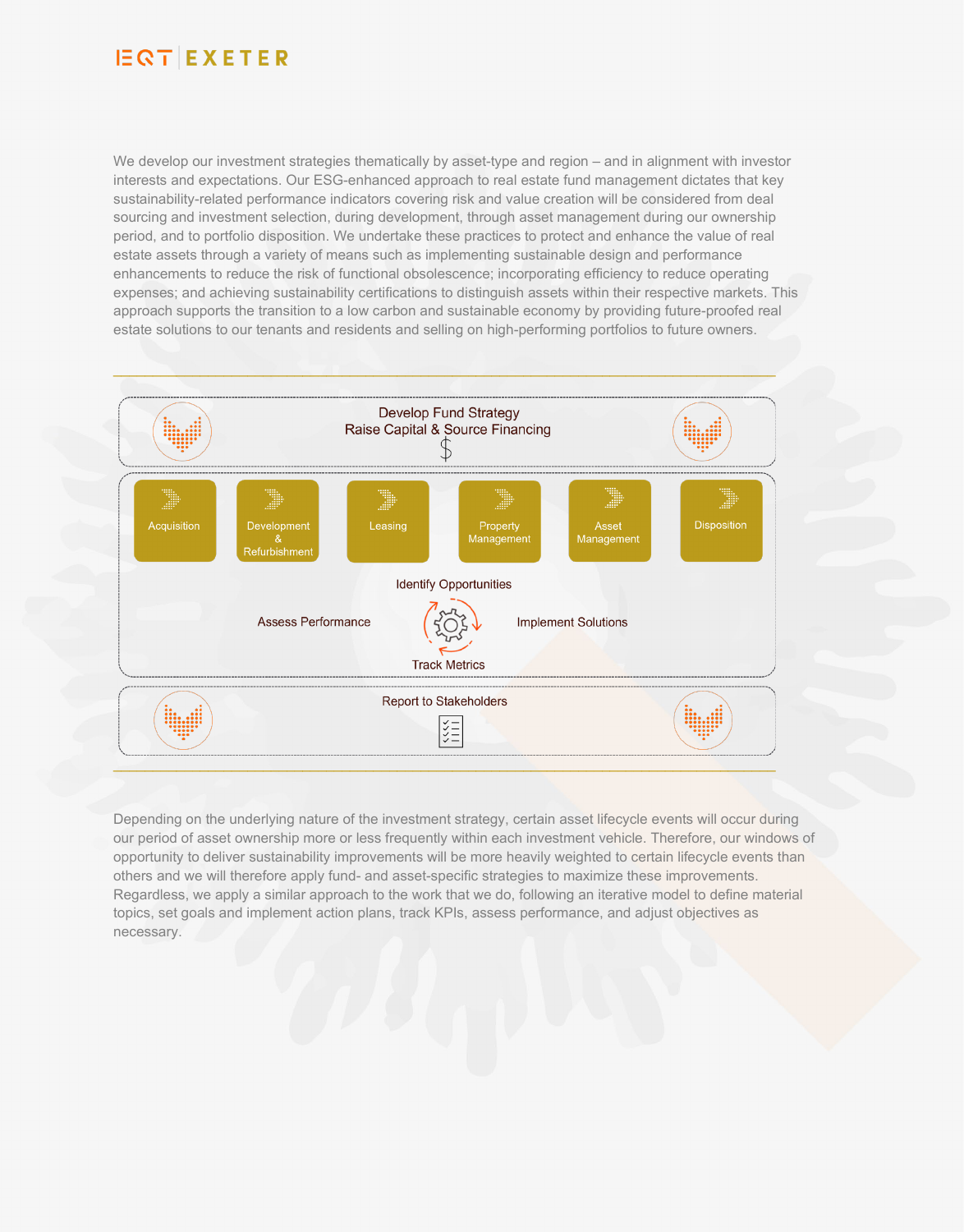We develop our investment strategies thematically by asset-type and region – and in alignment with investor interests and expectations. Our ESG-enhanced approach to real estate fund management dictates that key sustainability-related performance indicators covering risk and value creation will be considered from deal sourcing and investment selection, during development, through asset management during our ownership period, and to portfolio disposition. We undertake these practices to protect and enhance the value of real estate assets through a variety of means such as implementing sustainable design and performance enhancements to reduce the risk of functional obsolescence; incorporating efficiency to reduce operating expenses; and achieving sustainability certifications to distinguish assets within their respective markets. This approach supports the transition to a low carbon and sustainable economy by providing future-proofed real estate solutions to our tenants and residents and selling on high-performing portfolios to future owners.



Depending on the underlying nature of the investment strategy, certain asset lifecycle events will occur during our period of asset ownership more or less frequently within each investment vehicle. Therefore, our windows of opportunity to deliver sustainability improvements will be more heavily weighted to certain lifecycle events than others and we will therefore apply fund- and asset-specific strategies to maximize these improvements. Regardless, we apply a similar approach to the work that we do, following an iterative model to define material topics, set goals and implement action plans, track KPIs, assess performance, and adjust objectives as necessary.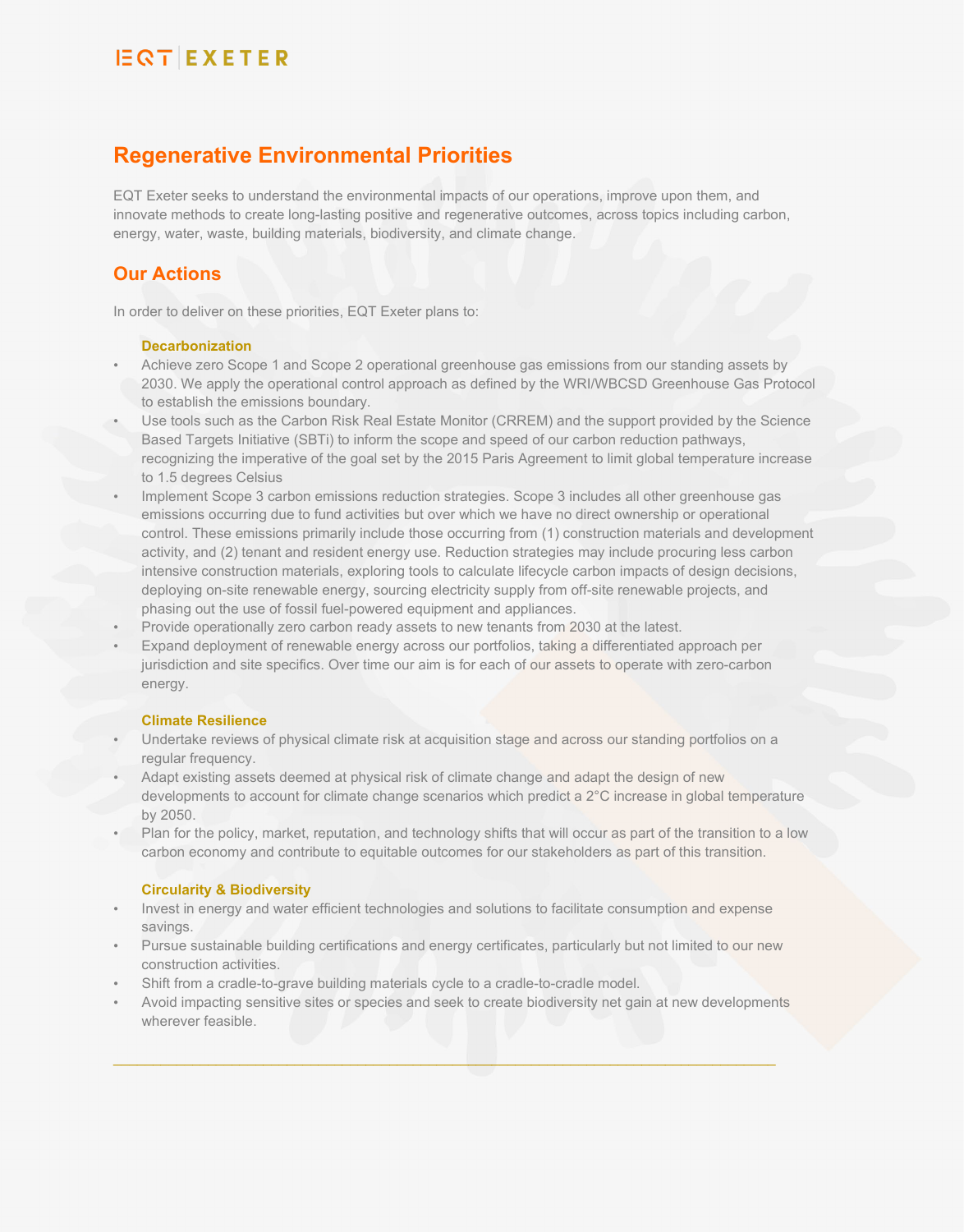## **Regenerative Environmental Priorities**

EQT Exeter seeks to understand the environmental impacts of our operations, improve upon them, and innovate methods to create long-lasting positive and regenerative outcomes, across topics including carbon, energy, water, waste, building materials, biodiversity, and climate change.

### **Our Actions**

In order to deliver on these priorities, EQT Exeter plans to:

#### **Decarbonization**

- Achieve zero Scope 1 and Scope 2 operational greenhouse gas emissions from our standing assets by 2030. We apply the operational control approach as defined by the WRI/WBCSD Greenhouse Gas Protocol to establish the emissions boundary.
- Use tools such as the Carbon Risk Real Estate Monitor (CRREM) and the support provided by the Science Based Targets Initiative (SBTi) to inform the scope and speed of our carbon reduction pathways, recognizing the imperative of the goal set by the 2015 Paris Agreement to limit global temperature increase to 1.5 degrees Celsius
- Implement Scope 3 carbon emissions reduction strategies. Scope 3 includes all other greenhouse gas emissions occurring due to fund activities but over which we have no direct ownership or operational control. These emissions primarily include those occurring from (1) construction materials and development activity, and (2) tenant and resident energy use. Reduction strategies may include procuring less carbon intensive construction materials, exploring tools to calculate lifecycle carbon impacts of design decisions, deploying on-site renewable energy, sourcing electricity supply from off-site renewable projects, and phasing out the use of fossil fuel-powered equipment and appliances.
- Provide operationally zero carbon ready assets to new tenants from 2030 at the latest.
- Expand deployment of renewable energy across our portfolios, taking a differentiated approach per jurisdiction and site specifics. Over time our aim is for each of our assets to operate with zero-carbon energy.

#### **Climate Resilience**

- Undertake reviews of physical climate risk at acquisition stage and across our standing portfolios on a regular frequency.
- Adapt existing assets deemed at physical risk of climate change and adapt the design of new developments to account for climate change scenarios which predict a 2°C increase in global temperature by 2050.
- Plan for the policy, market, reputation, and technology shifts that will occur as part of the transition to a low carbon economy and contribute to equitable outcomes for our stakeholders as part of this transition.

#### **Circularity & Biodiversity**

- Invest in energy and water efficient technologies and solutions to facilitate consumption and expense savings.
- Pursue sustainable building certifications and energy certificates, particularly but not limited to our new construction activities.
- Shift from a cradle-to-grave building materials cycle to a cradle-to-cradle model.
- Avoid impacting sensitive sites or species and seek to create biodiversity net gain at new developments wherever feasible.

\_\_\_\_\_\_\_\_\_\_\_\_\_\_\_\_\_\_\_\_\_\_\_\_\_\_\_\_\_\_\_\_\_\_\_\_\_\_\_\_\_\_\_\_\_\_\_\_\_\_\_\_\_\_\_\_\_\_\_\_\_\_\_\_\_\_\_\_\_\_\_\_\_\_\_\_\_\_\_\_\_\_\_\_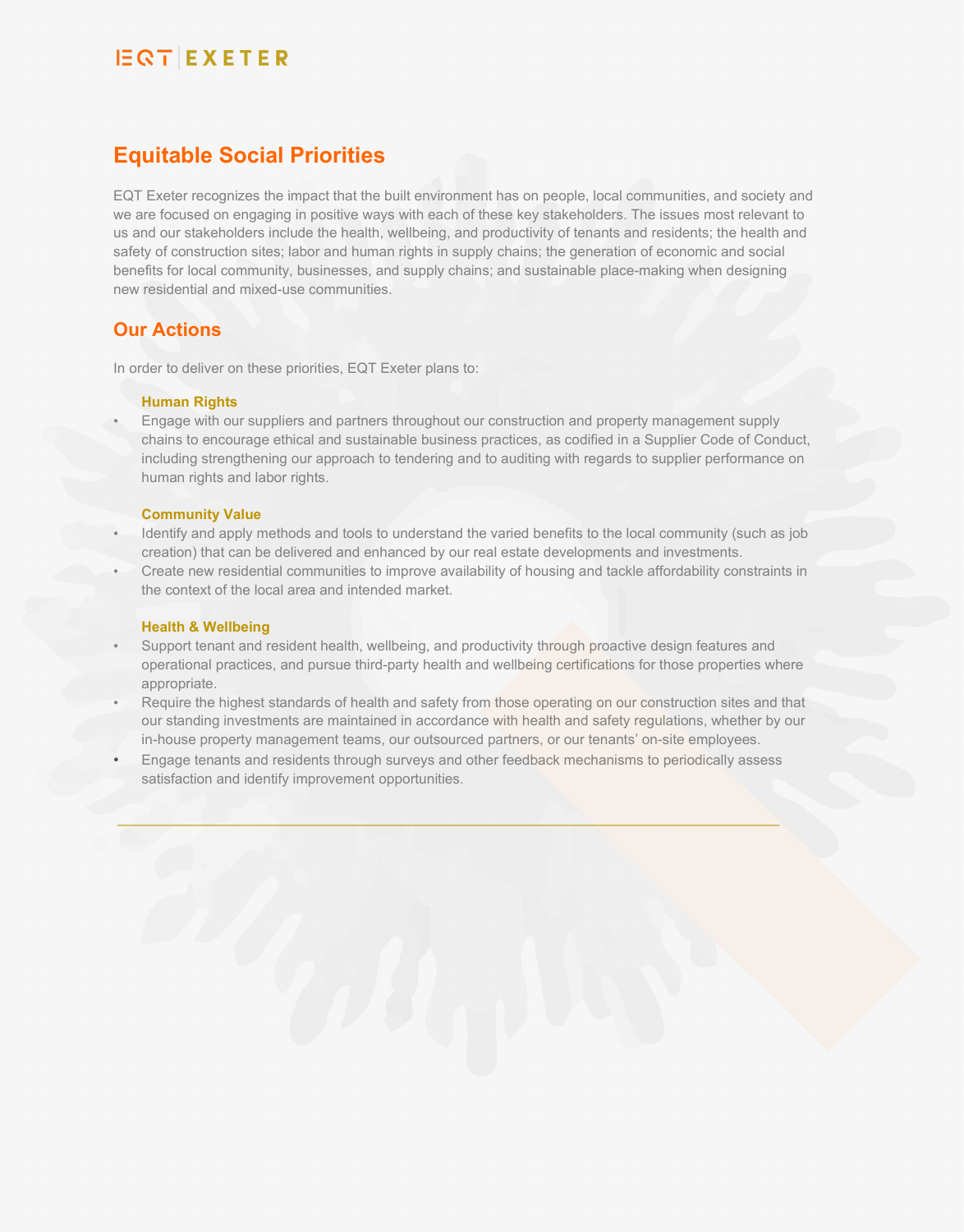### **Equitable Social Priorities**

EQT Exeter recognizes the impact that the built environment has on people, local communities, and society and we are focused on engaging in positive ways with each of these key stakeholders. The issues most relevant to us and our stakeholders include the health, wellbeing, and productivity of tenants and residents; the health and safety of construction sites; labor and human rights in supply chains; the generation of economic and social benefits for local community, businesses, and supply chains; and sustainable place-making when designing new residential and mixed-use communities.

### **Our Actions**

In order to deliver on these priorities, EQT Exeter plans to:

#### **Human Rights**

• Engage with our suppliers and partners throughout our construction and property management supply chains to encourage ethical and sustainable business practices, as codified in a Supplier Code of Conduct, including strengthening our approach to tendering and to auditing with regards to supplier performance on human rights and labor rights.

#### **Community Value**

- Identify and apply methods and tools to understand the varied benefits to the local community (such as job creation) that can be delivered and enhanced by our real estate developments and investments.
- Create new residential communities to improve availability of housing and tackle affordability constraints in the context of the local area and intended market.

#### **Health & Wellbeing**

- Support tenant and resident health, wellbeing, and productivity through proactive design features and operational practices, and pursue third-party health and wellbeing certifications for those properties where appropriate.
- Require the highest standards of health and safety from those operating on our construction sites and that our standing investments are maintained in accordance with health and safety regulations, whether by our in-house property management teams, our outsourced partners, or our tenants' on-site employees.
- Engage tenants and residents through surveys and other feedback mechanisms to periodically assess satisfaction and identify improvement opportunities.

\_\_\_\_\_\_\_\_\_\_\_\_\_\_\_\_\_\_\_\_\_\_\_\_\_\_\_\_\_\_\_\_\_\_\_\_\_\_\_\_\_\_\_\_\_\_\_\_\_\_\_\_\_\_\_\_\_\_\_\_\_\_\_\_\_\_\_\_\_\_\_\_\_\_\_\_\_\_\_\_\_\_\_\_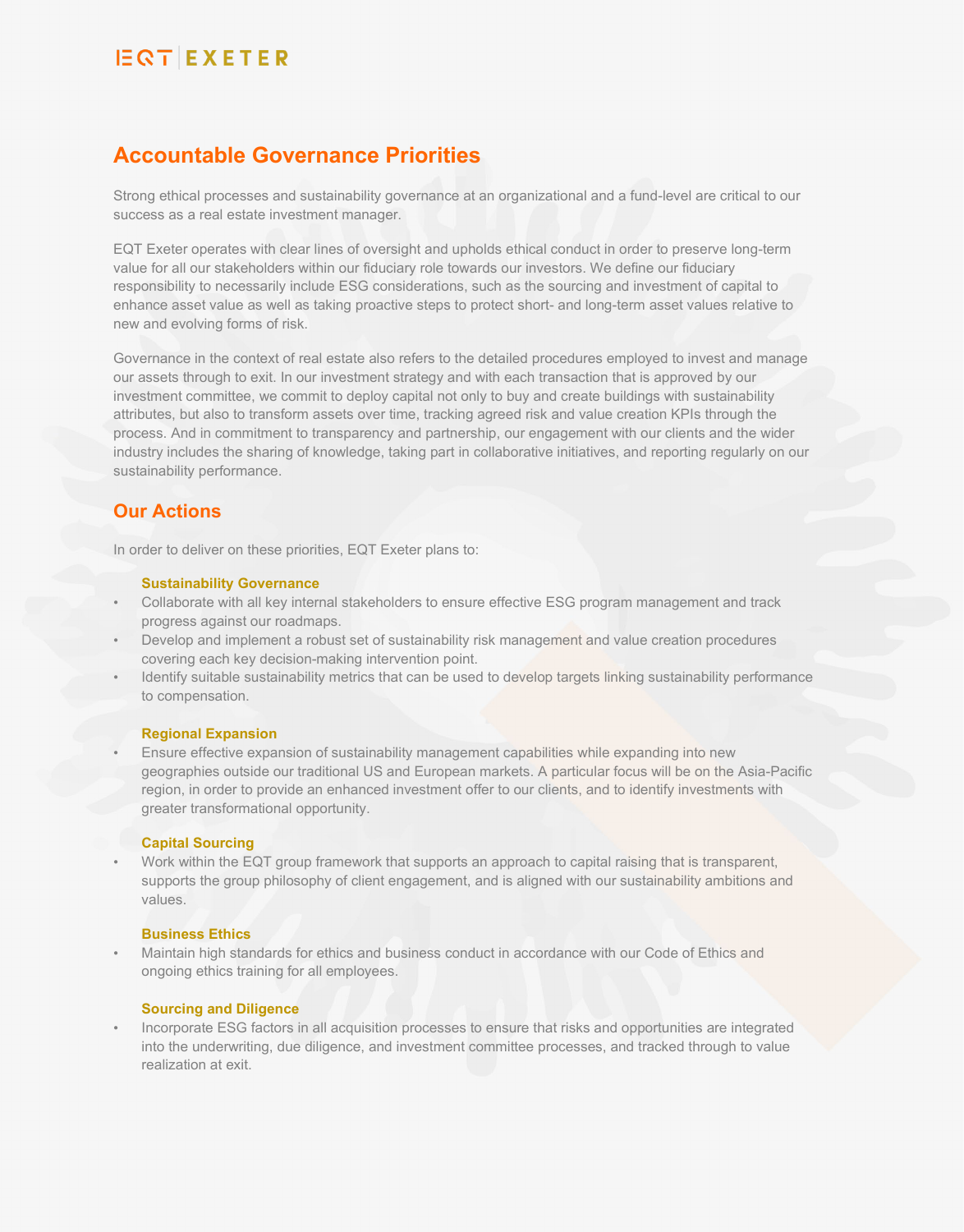## **Accountable Governance Priorities**

Strong ethical processes and sustainability governance at an organizational and a fund-level are critical to our success as a real estate investment manager.

EQT Exeter operates with clear lines of oversight and upholds ethical conduct in order to preserve long-term value for all our stakeholders within our fiduciary role towards our investors. We define our fiduciary responsibility to necessarily include ESG considerations, such as the sourcing and investment of capital to enhance asset value as well as taking proactive steps to protect short- and long-term asset values relative to new and evolving forms of risk.

Governance in the context of real estate also refers to the detailed procedures employed to invest and manage our assets through to exit. In our investment strategy and with each transaction that is approved by our investment committee, we commit to deploy capital not only to buy and create buildings with sustainability attributes, but also to transform assets over time, tracking agreed risk and value creation KPIs through the process. And in commitment to transparency and partnership, our engagement with our clients and the wider industry includes the sharing of knowledge, taking part in collaborative initiatives, and reporting regularly on our sustainability performance.

### **Our Actions**

In order to deliver on these priorities, EQT Exeter plans to:

#### **Sustainability Governance**

- Collaborate with all key internal stakeholders to ensure effective ESG program management and track progress against our roadmaps.
- Develop and implement a robust set of sustainability risk management and value creation procedures covering each key decision-making intervention point.
- Identify suitable sustainability metrics that can be used to develop targets linking sustainability performance to compensation.

#### **Regional Expansion**

• Ensure effective expansion of sustainability management capabilities while expanding into new geographies outside our traditional US and European markets. A particular focus will be on the Asia-Pacific region, in order to provide an enhanced investment offer to our clients, and to identify investments with greater transformational opportunity.

#### **Capital Sourcing**

• Work within the EQT group framework that supports an approach to capital raising that is transparent, supports the group philosophy of client engagement, and is aligned with our sustainability ambitions and values.

#### **Business Ethics**

• Maintain high standards for ethics and business conduct in accordance with our Code of Ethics and ongoing ethics training for all employees.

#### **Sourcing and Diligence**

• Incorporate ESG factors in all acquisition processes to ensure that risks and opportunities are integrated into the underwriting, due diligence, and investment committee processes, and tracked through to value realization at exit.